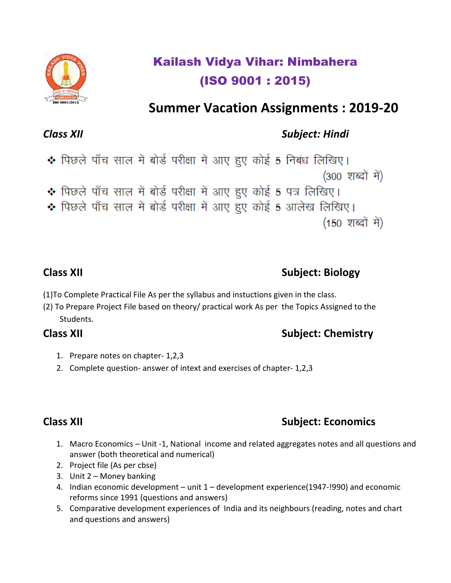# Kailash Vidya Vihar: Nimbahera (ISO 9001 : 2015)

# **Summer Vacation Assignments : 2019-20**

## *Class XII Subject: Hindi*

• पिछले पाँच साल में बोर्ड परीक्षा में आए हुए कोई 5 निबंध लिखिए। (300 शब्दों में) • पिछले पाँच साल में बोर्ड परीक्षा में आए हुए कोई 5 पत्र लिखिए। • पिछले पाँच साल में बोर्ड परीक्षा में आए हुए कोई 5 आलेख लिखिए। (150 शब्दों में)

## **Class XII** Subject: Biology

(1)To Complete Practical File As per the syllabus and instuctions given in the class.

(2) To Prepare Project File based on theory/ practical work As per the Topics Assigned to the Students.

## **Class XII** Subject: Chemistry

- 1. Prepare notes on chapter- 1,2,3
- 2. Complete question- answer of intext and exercises of chapter- 1,2,3

## **Class XII** Subject: Economics

- 1. Macro Economics Unit -1, National income and related aggregates notes and all questions and answer (both theoretical and numerical)
- 2. Project file (As per cbse)
- 3. Unit 2 Money banking
- 4. Indian economic development unit 1 development experience(1947-!990) and economic reforms since 1991 (questions and answers)
- 5. Comparative development experiences of India and its neighbours (reading, notes and chart and questions and answers)

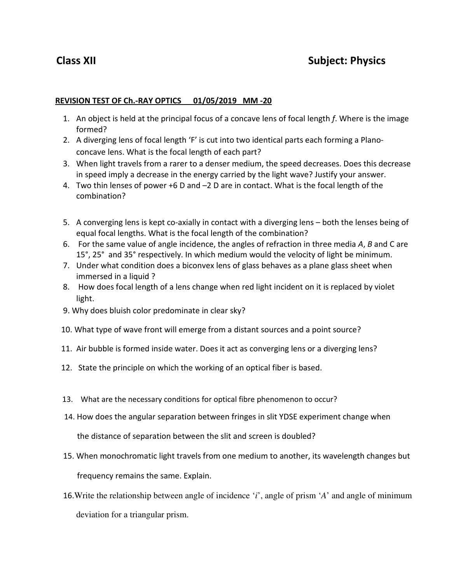### **REVISION TEST OF Ch.-RAY OPTICS 01/05/2019 MM -20**

- 1. An object is held at the principal focus of a concave lens of focal length *f*. Where is the image formed?
- 2. A diverging lens of focal length 'F' is cut into two identical parts each forming a Planoconcave lens. What is the focal length of each part?
- 3. When light travels from a rarer to a denser medium, the speed decreases. Does this decrease in speed imply a decrease in the energy carried by the light wave? Justify your answer.
- 4. Two thin lenses of power +6 D and –2 D are in contact. What is the focal length of the combination?
- 5. A converging lens is kept co-axially in contact with a diverging lens both the lenses being of equal focal lengths. What is the focal length of the combination?
- 6. For the same value of angle incidence, the angles of refraction in three media *A*, *B* and C are 15°, 25° and 35° respectively. In which medium would the velocity of light be minimum.
- 7. Under what condition does a biconvex lens of glass behaves as a plane glass sheet when immersed in a liquid ?
- 8. How does focal length of a lens change when red light incident on it is replaced by violet light.
- 9. Why does bluish color predominate in clear sky?
- 10. What type of wave front will emerge from a distant sources and a point source?
- 11. Air bubble is formed inside water. Does it act as converging lens or a diverging lens?
- 12. State the principle on which the working of an optical fiber is based.
- 13. What are the necessary conditions for optical fibre phenomenon to occur?
- 14. How does the angular separation between fringes in slit YDSE experiment change when

the distance of separation between the slit and screen is doubled?

15. When monochromatic light travels from one medium to another, its wavelength changes but

frequency remains the same. Explain.

 16.Write the relationship between angle of incidence '*i*', angle of prism '*A*' and angle of minimum deviation for a triangular prism.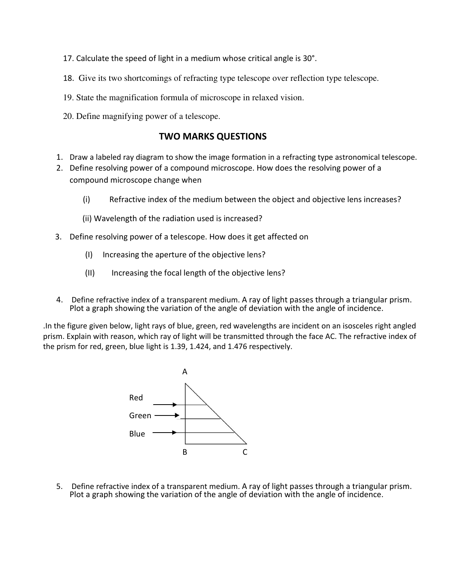- 17. Calculate the speed of light in a medium whose critical angle is 30°.
- 18.Give its two shortcomings of refracting type telescope over reflection type telescope.
- 19. State the magnification formula of microscope in relaxed vision.
- 20. Define magnifying power of a telescope.

### **TWO MARKS QUESTIONS**

- 1. Draw a labeled ray diagram to show the image formation in a refracting type astronomical telescope.
- 2. Define resolving power of a compound microscope. How does the resolving power of a compound microscope change when
	- (i) Refractive index of the medium between the object and objective lens increases?
	- (ii) Wavelength of the radiation used is increased?
- 3. Define resolving power of a telescope. How does it get affected on
	- (I) Increasing the aperture of the objective lens?
	- (II) Increasing the focal length of the objective lens?
- 4. Define refractive index of a transparent medium. A ray of light passes through a triangular prism. Plot a graph showing the variation of the angle of deviation with the angle of incidence.

.In the figure given below, light rays of blue, green, red wavelengths are incident on an isosceles right angled prism. Explain with reason, which ray of light will be transmitted through the face AC. The refractive index of the prism for red, green, blue light is 1.39, 1.424, and 1.476 respectively.



5. Define refractive index of a transparent medium. A ray of light passes through a triangular prism. Plot a graph showing the variation of the angle of deviation with the angle of incidence.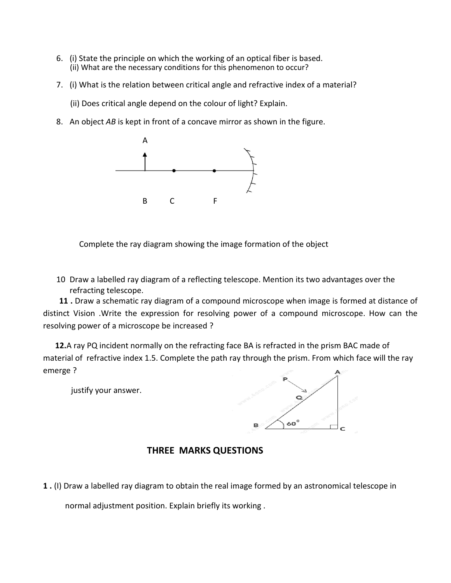- 6. (i) State the principle on which the working of an optical fiber is based. (ii) What are the necessary conditions for this phenomenon to occur?
- 7. (i) What is the relation between critical angle and refractive index of a material?
	- (ii) Does critical angle depend on the colour of light? Explain.
- 8. An object *AB* is kept in front of a concave mirror as shown in the figure.



Complete the ray diagram showing the image formation of the object

10 Draw a labelled ray diagram of a reflecting telescope. Mention its two advantages over the refracting telescope.

 **11 .** Draw a schematic ray diagram of a compound microscope when image is formed at distance of distinct Vision .Write the expression for resolving power of a compound microscope. How can the resolving power of a microscope be increased ?

 **12.**A ray PQ incident normally on the refracting face BA is refracted in the prism BAC made of material of refractive index 1.5. Complete the path ray through the prism. From which face will the ray emerge ?

justify your answer.



### **THREE MARKS QUESTIONS**

**1 .** (I) Draw a labelled ray diagram to obtain the real image formed by an astronomical telescope in

normal adjustment position. Explain briefly its working .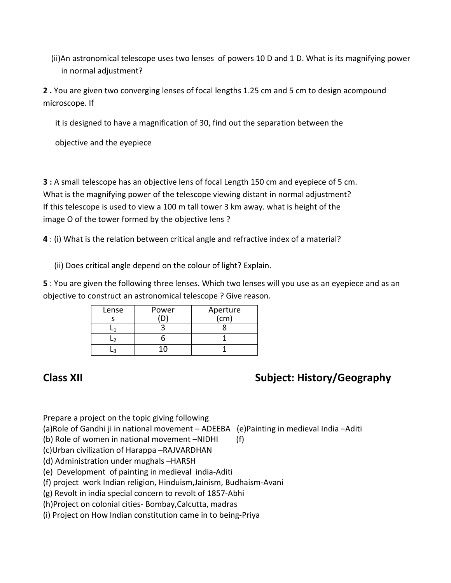(ii)An astronomical telescope uses two lenses of powers 10 D and 1 D. What is its magnifying power in normal adjustment?

**2 .** You are given two converging lenses of focal lengths 1.25 cm and 5 cm to design acompound microscope. If

it is designed to have a magnification of 30, find out the separation between the

objective and the eyepiece

**3 :** A small telescope has an objective lens of focal Length 150 cm and eyepiece of 5 cm. What is the magnifying power of the telescope viewing distant in normal adjustment? If this telescope is used to view a 100 m tall tower 3 km away. what is height of the image O of the tower formed by the objective lens ?

**4** : (i) What is the relation between critical angle and refractive index of a material?

(ii) Does critical angle depend on the colour of light? Explain.

**5** : You are given the following three lenses. Which two lenses will you use as an eyepiece and as an objective to construct an astronomical telescope ? Give reason.

| Lense | Power | Aperture<br>(cm) |
|-------|-------|------------------|
|       |       |                  |
|       |       |                  |
|       |       |                  |
|       |       |                  |

## **Class XII** Subject: History/Geography

Prepare a project on the topic giving following

(a)Role of Gandhi ji in national movement – ADEEBA (e)Painting in medieval India –Aditi

(b) Role of women in national movement –NIDHI (f)

(c)Urban civilization of Harappa –RAJVARDHAN

(d) Administration under mughals –HARSH

(e) Development of painting in medieval india-Aditi

(f) project work Indian religion, Hinduism,Jainism, Budhaism-Avani

(g) Revolt in india special concern to revolt of 1857-Abhi

(h)Project on colonial cities- Bombay,Calcutta, madras

(i) Project on How Indian constitution came in to being-Priya